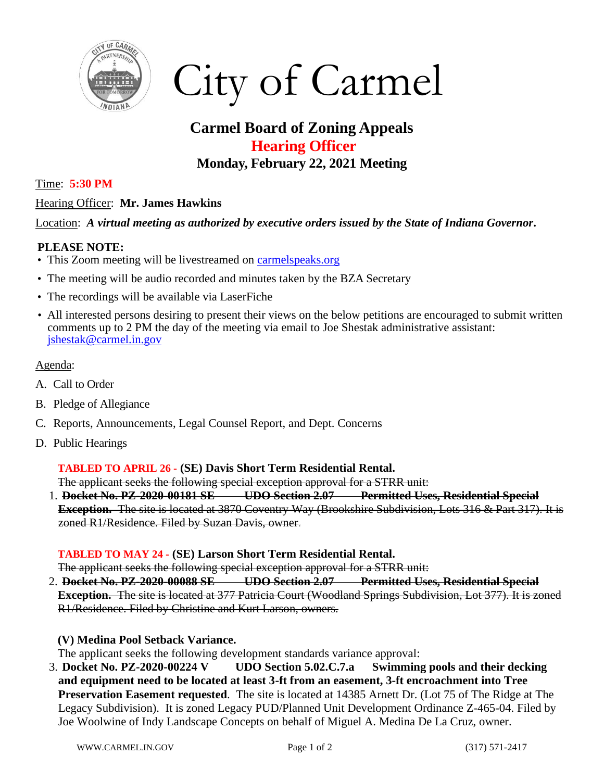

# City of Carmel

# **Carmel Board of Zoning Appeals Hearing Officer Monday, February 22, 2021 Meeting**

#### Time: **5:30 PM**

## Hearing Officer: **Mr. James Hawkins**

### Location: *A virtual meeting as authorized by executive orders issued by the State of Indiana Governor***.**

### **PLEASE NOTE:**

- This Zoom meeting will be livestreamed on [carmelspeaks.org](https://carmelspeaks.org/)
- The meeting will be audio recorded and minutes taken by the BZA Secretary
- The recordings will be available via LaserFiche
- All interested persons desiring to present their views on the below petitions are encouraged to submit written comments up to 2 PM the day of the meeting via email to Joe Shestak administrative assistant: [jshestak@carmel.in.gov](mailto:jshestak@carmel.in.gov)

### Agenda:

- A. Call to Order
- B. Pledge of Allegiance
- C. Reports, Announcements, Legal Counsel Report, and Dept. Concerns
- D. Public Hearings

### **TABLED TO APRIL 26 - (SE) Davis Short Term Residential Rental.**

The applicant seeks the following special exception approval for a STRR unit:

1. **Docket No. PZ-2020-00181 SE UDO Section 2.07 Permitted Uses, Residential Special Exception.** The site is located at 3870 Coventry Way (Brookshire Subdivision, Lots 316 & Part 317). It is zoned R1/Residence. Filed by Suzan Davis, owner.

### **TABLED TO MAY 24 - (SE) Larson Short Term Residential Rental.**

The applicant seeks the following special exception approval for a STRR unit:

2. **Docket No. PZ-2020-00088 SE UDO Section 2.07 Permitted Uses, Residential Special Exception.** The site is located at 377 Patricia Court (Woodland Springs Subdivision, Lot 377). It is zoned R1/Residence. Filed by Christine and Kurt Larson, owners.

### **(V) Medina Pool Setback Variance.**

The applicant seeks the following development standards variance approval:

3. **Docket No. PZ-2020-00224 V UDO Section 5.02.C.7.a Swimming pools and their decking and equipment need to be located at least 3-ft from an easement, 3-ft encroachment into Tree Preservation Easement requested**. The site is located at 14385 Arnett Dr. (Lot 75 of The Ridge at The Legacy Subdivision). It is zoned Legacy PUD/Planned Unit Development Ordinance Z-465-04. Filed by Joe Woolwine of Indy Landscape Concepts on behalf of Miguel A. Medina De La Cruz, owner.